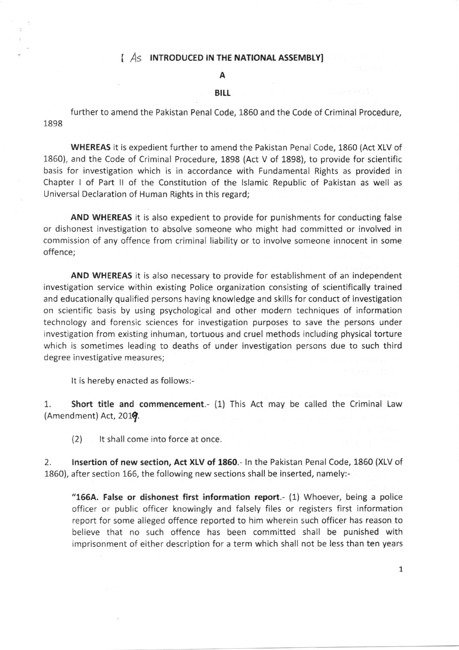## $\int A_S$  INTRODUCED IN THE NATIONAL ASSEMBLY]

## A

## **BILL**

further to amend the Pakistan Penal Code, 1860 and the Code of Criminal Procedure, 1898

WHEREAS it is expedient further to amend the Pakistan Penal Code, 1860 (Act XLV of 1860), and the Code of Criminal Procedure, 1898 (Act V of 1898), to provide for scientific basis for investigation which is in accordance with Fundamental Rights as provided in Chapter I of Part ll of the Constitution of the lslamic Republic of Pakistan as well as Universal Declaration of Human Rights in this regard;

AND WHEREAS it is also expedient to provide for punishments for conducting false or dishonest investigation to absolve someone who might had committed or involved in commission of any offence from criminal liability or to involve someone innocent in some offence;

AND WHEREAS it is also necessary to provide for establishment of an independent investigation service within existing Police organization consisting of scientifically trained and educationally qualified persons having knowledge and skills for conduct of investigation on scientific basis by using psychological and other modern techniques of information technology and forensic sciences for investigation purposes to save the persons under investigation from existing inhuman, tortuous and cruel methods including physical torture which is sometimes leading to deaths of under investigation persons due to such third degree investigative measures;

It is hereby enacted as follows:-

1. Short title and commencement.- (1) This Act may be called the Criminal Law  $(Amendment)$  Act, 2019.

(2) It shall come into force at once.

2. Insertion of new section, Act XLV of 1860.- In the Pakistan Penal Code, 1860 (XLV of 1860), after section 166, the following new sections shall be inserted, namely:-

"166A. False or dishonest first information report.- (1) Whoever, being a police officer or public officer knowingly and falsely files or registers first information report for some alleged offence reported to him wherein such officer has reason to believe that no such offence has been committed shall be punished with imprisonment of either description for a term which shall not be less than ten years

1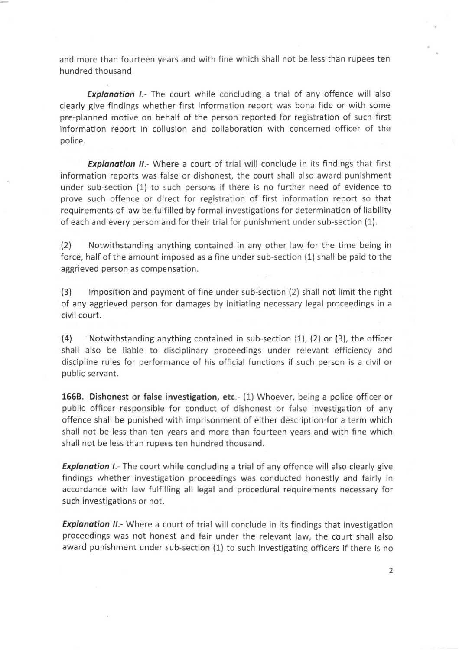and more than fourteen years and with fine which shall not be less than rupees ten hundred thousand.

**Explanation I.**- The court while concluding a trial of any offence will also clearly give findings whether first information report was bona fide or with some pre-planned motive on behalf of the person reported for registration of such first informatlon report in collusion and collaboration with concerned officer of the police.

**Explanation II.**- Where a court of trial will conclude in its findings that first information reports was false or dishonest, the court shall also award punishment under sub-section (1) to such persons if there is no further need of evidence to prove such offence or direct for registration of first information report so that requirements of law be fulfilled by formal investigations for determination of liability of each and every person and for their trial for punishment under sub-section (1).

(2) Notwithstanding anything contained in any other law for the time being in force, half of the amount irnposed as a fine under sub-section (1) shall be paid to the aggrieved person as compensation.

(3) lmposition and payrnent of fine under sub-section (2) shall not limit the right of any aggrieved person for damages by initiating necessary legal proceedings in <sup>a</sup> civil court.

(4) Notwithstanding anything contained in sub-section  $(1)$ ,  $(2)$  or  $(3)$ , the officer shall also be liable to disciplinary proceedings under relevant efficiency and discipline rules for perfornance of his official functions if such person is a civil or public servant.

1668, Dishonest or false investigation, etc.- (1) Whoever, being a police officer or public officer responsible for conduct of dishonest or false investigation of any offence shall be punished with imprisonment of either description for a term which shall not be less than ten years and more than fourteen years and with fine which shall not be less than rupees ten hundred thousand.

Explanation I.- The court while concluding a trial of any offence will also clearly give findings whether investigation proceedings was conducted honestly and fairly in accordance with law fulfilling all legal and procedural requirements necessary for such investigations or not.

Explanation II.- Where a court of trial will conclude in its findings that investigation proceedings was not honest and fair under the relevant law, the court shall also award punishment under sub-section (1) to such investigating officers if there is no

2